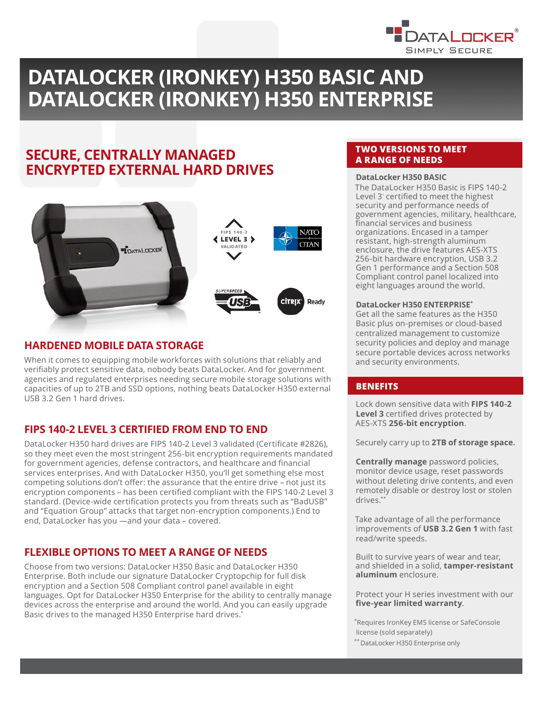

# **DATALOCKER (IRONKEY) H350 BASIC AND DATALOCKER (IRONKEY) H350 ENTERPRISE**

# **SECURE, CENTRALLY MANAGED ENCRYPTED EXTERNAL HARD DRIVES**



## **HARDENED MOBILE DATA STORAGE**

When it comes to equipping mobile workforces with solutions that reliably and verifiably protect sensitive data, nobody beats DataLocker. And for government agencies and regulated enterprises needing secure mobile storage solutions with capacities of up to 2TB and SSD options, nothing beats DataLocker H350 external USB 3.2 Gen 1 hard drives.

# **FIPS 140-2 LEVEL 3 CERTIFIED FROM END TO END**

DataLocker H350 hard drives are FIPS 140-2 Level 3 validated (Certificate #2826), so they meet even the most stringent 256-bit encryption requirements mandated for government agencies, defense contractors, and healthcare and financial services enterprises. And with DataLocker H350, you'll get something else most competing solutions don't offer: the assurance that the entire drive – not just its encryption components – has been certified compliant with the FIPS 140-2 Level 3 standard. (Device-wide certification protects you from threats such as "BadUSB" and "Equation Group" attacks that target non-encryption components.) End to end, DataLocker has you —and your data – covered.

# **FLEXIBLE OPTIONS TO MEET A RANGE OF NEEDS**

Choose from two versions: DataLocker H350 Basic and DataLocker H350 Enterprise. Both include our signature DataLocker Cryptopchip for full disk encryption and a Section 508 Compliant control panel available in eight languages. Opt for DataLocker H350 Enterprise for the ability to centrally manage devices across the enterprise and around the world. And you can easily upgrade Basic drives to the managed H350 Enterprise hard drives.<sup>\*</sup>

## **TWO VERSIONS TO MEET A RANGE OF NEEDS**

### DataLocker H350 BASIC

The DataLocker H350 Basic is FIPS 140-2 Level 3<sup>*'*</sup> certified to meet the highest security and performance needs of government agencies, military, healthcare, financial services and business organizations. Encased in a tamper resistant, high-strength aluminum enclosure, the drive features AES-XTS 256-bit hardware encryption, USB 3.2 Gen 1 performance and a Section 508 Compliant control panel localized into eight languages around the world.

#### **DataLocker H350 ENTERPRISE\***

Get all the same features as the H350 Basic plus on-premises or cloud-based centralized management to customize security policies and deploy and manage secure portable devices across networks and security environments.

### **BENEFITS**

Lock down sensitive data with **FIPS 140-2 Level 3** certified drives protected by AES-XTS **256-bit encryption**.

Securely carry up to **2TB of storage space.**

**Centrally manage** password policies, monitor device usage, reset passwords without deleting drive contents, and even remotely disable or destroy lost or stolen drives.\*\*

Take advantage of all the performance improvements of **USB 3.2 Gen 1** with fast read/write speeds.

Built to survive years of wear and tear, and shielded in a solid, **tamper-resistant aluminum** enclosure.

Protect your H series investment with our **five-year limited warranty**.

\*Requires IronKey EMS license or SafeConsole license (sold separately)

\*\* DataLocker H350 Enterprise only